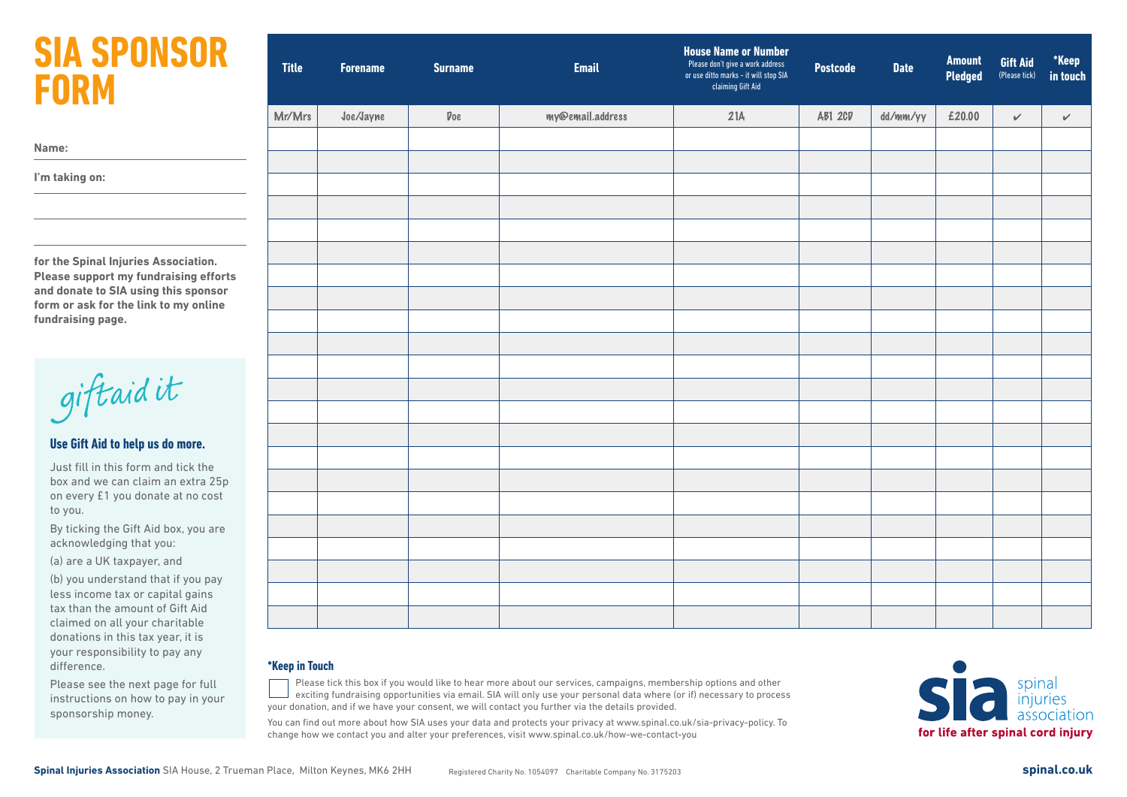## **SIA SPONSOR FORM**

|  |  | ۰. |  |
|--|--|----|--|
|  |  |    |  |

**I'm taking on:**

**for the Spinal Injuries Association. Please support my fundraising efforts and donate to SIA using this sponsor form or ask for the link to my online fundraising page.** 

giftaidit

#### **Use Gift Aid to help us do more.**

Just fill in this form and tick the box and we can claim an extra 25p on every £1 you donate at no cost to you.

By ticking the Gift Aid box, you are acknowledging that you:

(a) are a UK taxpayer, and

(b) you understand that if you pay less income tax or capital gains tax than the amount of Gift Aid claimed on all your charitable donations in this tax year, it is your responsibility to pay any difference.

Please see the next page for full instructions on how to pay in your sponsorship money.

| <b>Title</b> | <b>Forename</b> | <b>Surname</b>      | <b>Email</b>     | <b>House Name or Number</b><br>Please don't give a work address<br>or use ditto marks - it will stop SIA<br>claiming Gift Aid | <b>Postcode</b> | <b>Date</b> | <b>Amount</b><br><b>Pledged</b> | Gift Aid<br>(Please tick) | *Keep<br>in touch |
|--------------|-----------------|---------------------|------------------|-------------------------------------------------------------------------------------------------------------------------------|-----------------|-------------|---------------------------------|---------------------------|-------------------|
| Mr/Mrs       | Joe/Jayne       | $\mathfrak{p}_{0e}$ | my@email.address | 21A                                                                                                                           | AB1 2CD         | dd/mm/yy    | £20.00                          | $\checkmark$              | $\checkmark$      |
|              |                 |                     |                  |                                                                                                                               |                 |             |                                 |                           |                   |
|              |                 |                     |                  |                                                                                                                               |                 |             |                                 |                           |                   |
|              |                 |                     |                  |                                                                                                                               |                 |             |                                 |                           |                   |
|              |                 |                     |                  |                                                                                                                               |                 |             |                                 |                           |                   |
|              |                 |                     |                  |                                                                                                                               |                 |             |                                 |                           |                   |
|              |                 |                     |                  |                                                                                                                               |                 |             |                                 |                           |                   |
|              |                 |                     |                  |                                                                                                                               |                 |             |                                 |                           |                   |
|              |                 |                     |                  |                                                                                                                               |                 |             |                                 |                           |                   |
|              |                 |                     |                  |                                                                                                                               |                 |             |                                 |                           |                   |
|              |                 |                     |                  |                                                                                                                               |                 |             |                                 |                           |                   |
|              |                 |                     |                  |                                                                                                                               |                 |             |                                 |                           |                   |
|              |                 |                     |                  |                                                                                                                               |                 |             |                                 |                           |                   |
|              |                 |                     |                  |                                                                                                                               |                 |             |                                 |                           |                   |
|              |                 |                     |                  |                                                                                                                               |                 |             |                                 |                           |                   |
|              |                 |                     |                  |                                                                                                                               |                 |             |                                 |                           |                   |
|              |                 |                     |                  |                                                                                                                               |                 |             |                                 |                           |                   |
|              |                 |                     |                  |                                                                                                                               |                 |             |                                 |                           |                   |
|              |                 |                     |                  |                                                                                                                               |                 |             |                                 |                           |                   |
|              |                 |                     |                  |                                                                                                                               |                 |             |                                 |                           |                   |
|              |                 |                     |                  |                                                                                                                               |                 |             |                                 |                           |                   |

#### **\*Keep in Touch**

Please tick this box if you would like to hear more about our services, campaigns, membership options and other exciting fundraising opportunities via email. SIA will only use your personal data where (or if) necessary to process your donation, and if we have your consent, we will contact you further via the details provided.

You can find out more about how SIA uses your data and protects your privacy at www.spinal.co.uk/sia-privacy-policy. To change how we contact you and alter your preferences, visit www.spinal.co.uk/how-we-contact-you